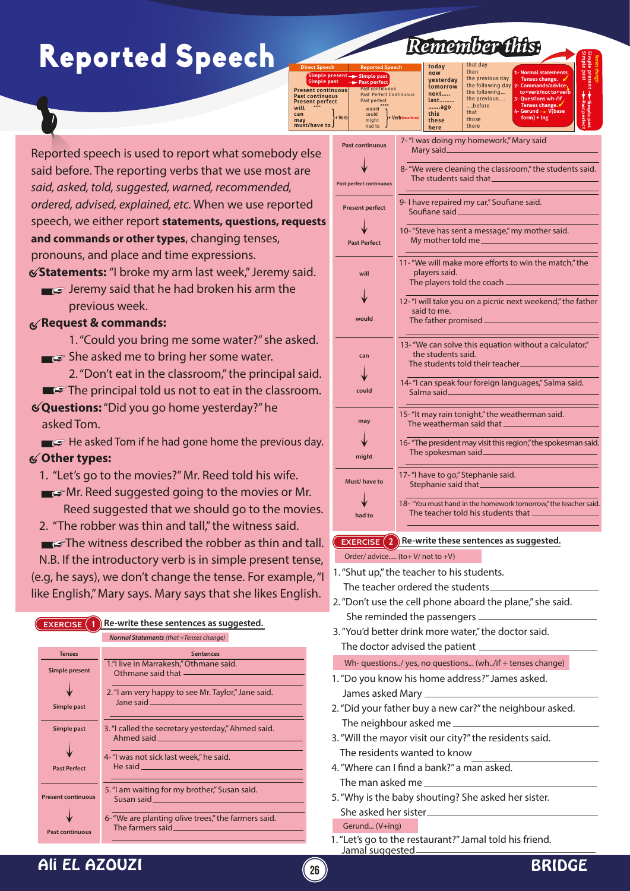## Reported Speech

| Remember this. |  |  |  |  |
|----------------|--|--|--|--|
|                |  |  |  |  |

**1- Normal statements Tenses change. 2- Commands/advice to+verb/not to+verb 3- Questions wh-/if Tenses change.** 4- Gerund  $\rightarrow$  V(base

**Tenses change: Simple past Simple present**

| <b>Direct Speech</b>                                                                  | <b>Reported Speech</b>                                                   | today                           | that day                                      |
|---------------------------------------------------------------------------------------|--------------------------------------------------------------------------|---------------------------------|-----------------------------------------------|
| Simple present - Simple past<br>Simple past                                           | -Past perfect                                                            | now<br>vesterday                | then<br>the previous day<br>the following day |
| <b>Present continuous</b><br><b>Past continuous</b><br><b>Present perfect</b><br>will | <b>Past continuous</b><br><b>Past Perfect Continuous</b><br>Past perfect | tomorrow<br>next<br>last<br>ago | the following<br>the previous<br>before       |
| can<br>+ Verb<br>may<br>must/have to J                                                | would<br>could<br>+ Verb(base form)<br>might<br>had to                   | this<br>these<br>here           | that<br>those<br>there                        |

Reported speech is used to report what somebody else said before. The reporting verbs that we use most are *said, asked, told, suggested, warned, recommended, ordered, advised, explained, etc.* When we use reported speech, we either report **statements, questions, requests and commands or other types**, changing tenses, pronouns, and place and time expressions.

 **Statements:** "I broke my arm last week," Jeremy said.

**Jeremy said that he had broken his arm the** previous week.

### **Request & commands:**

- 1. "Could you bring me some water?" she asked.
- $\blacksquare$  She asked me to bring her some water.
- 2. "Don't eat in the classroom," the principal said.  $\blacksquare$ The principal told us not to eat in the classroom.
- **Questions:** "Did you go home yesterday?" he asked Tom.
- $\blacksquare$  He asked Tom if he had gone home the previous day.

### **Other types:**

- 1. "Let's go to the movies?" Mr. Reed told his wife.
- **Mr.** Reed suggested going to the movies or Mr. Reed suggested that we should go to the movies.
- 2. "The robber was thin and tall," the witness said.

The witness described the robber as thin and tall. N.B. If the introductory verb is in simple present tense, (e.g, he says), we don't change the tense. For example, "I like English," Mary says. Mary says that she likes English.

| <b>EXERCISE</b>           | Re-write these sentences as suggested.                                                                                                                              |
|---------------------------|---------------------------------------------------------------------------------------------------------------------------------------------------------------------|
|                           | Normal Statements (that +Tenses change)                                                                                                                             |
| <b>Tenses</b>             | <b>Sentences</b>                                                                                                                                                    |
| <b>Simple present</b>     | 1."I live in Marrakesh," Othmane said.<br>Othmane said that __________                                                                                              |
|                           | 2. "I am very happy to see Mr. Taylor," Jane said.<br>Jane said and the contract of the contract of the contract of the contract of the contract of the contract of |
| Simple past               |                                                                                                                                                                     |
| Simple past               | 3. "I called the secretary yesterday," Ahmed said.                                                                                                                  |
|                           |                                                                                                                                                                     |
| <b>Past Perfect</b>       | 4- "I was not sick last week," he said.<br>He said and the said and the said and the said                                                                           |
|                           |                                                                                                                                                                     |
| <b>Present continuous</b> | 5. "I am waiting for my brother," Susan said.                                                                                                                       |
|                           | 6- "We are planting olive trees," the farmers said.                                                                                                                 |
| <b>Past continuous</b>    |                                                                                                                                                                     |

| ct<br>rası peneci<br>would<br>could<br>+ Verb<br>might<br>had to | Tenses change.<br>before<br>ast perfec<br>ago<br>4- Gerund - V(base<br>that<br>this<br>+ Verb(base form)<br>$form) + ing$<br>those<br>these<br>there<br>here |  |  |  |  |  |
|------------------------------------------------------------------|--------------------------------------------------------------------------------------------------------------------------------------------------------------|--|--|--|--|--|
| <b>Past continuous</b>                                           | 7-"I was doing my homework," Mary said<br>Mary said______                                                                                                    |  |  |  |  |  |
| <b>Past perfect continuous</b>                                   | 8- "We were cleaning the classroom," the students said.<br>The students said that __                                                                         |  |  |  |  |  |
| <b>Present perfect</b>                                           | 9- I have repaired my car," Soufiane said.<br>Soufiane said_                                                                                                 |  |  |  |  |  |
| <b>Past Perfect</b>                                              | 10-"Steve has sent a message," my mother said.<br>My mother told me                                                                                          |  |  |  |  |  |
| will                                                             | 11-"We will make more efforts to win the match," the<br>players said.<br>The players told the coach -                                                        |  |  |  |  |  |
| would                                                            | 12-"I will take you on a picnic next weekend," the father<br>said to me.<br>The father promised.                                                             |  |  |  |  |  |
| can                                                              | 13-"We can solve this equation without a calculator,"<br>the students said.<br>The students told their teacher_                                              |  |  |  |  |  |
| could                                                            | 14-"I can speak four foreign languages," Salma said.<br>Salma said <sub>——</sub>                                                                             |  |  |  |  |  |
| may                                                              | 15-"It may rain tonight," the weatherman said.<br>The weatherman said that _                                                                                 |  |  |  |  |  |
| might                                                            | 16-"The president may visit this region," the spokesman said.                                                                                                |  |  |  |  |  |
| Must/have to                                                     | 17-"I have to go," Stephanie said.<br>Stephanie said that ________                                                                                           |  |  |  |  |  |
| had to                                                           | 18- "You must hand in the homework tomorrow," the teacher said.<br>The teacher told his students that ______                                                 |  |  |  |  |  |
|                                                                  | <b>EXERCISE</b> $(2)$ Re-write these sentences as suggested.                                                                                                 |  |  |  |  |  |

Order/ advice..... (to+ V/ not to +V)

- 1. "Shut up," the teacher to his students. The teacher ordered the students
- 2. "Don't use the cell phone aboard the plane," she said. She reminded the passengers
- 3. "You'd better drink more water," the doctor said. The doctor advised the patient

Wh- questions../ yes, no questions... (wh../if + tenses change)

- 1. "Do you know his home address?" James asked. James asked Mary
- 2. "Did your father buy a new car?" the neighbour asked. The neighbour asked me
- 3. "Will the mayor visit our city?" the residents said. The residents wanted to know
- 4. "Where can I find a bank?" a man asked. The man asked me
- 5. "Why is the baby shouting? She asked her sister. She asked her sister

Gerund... (V+ing)

1. "Let's go to the restaurant?" Jamal told his friend. Jamal suggested

### Ali EL AZOUZI **<sup>26</sup>** BRIDGE

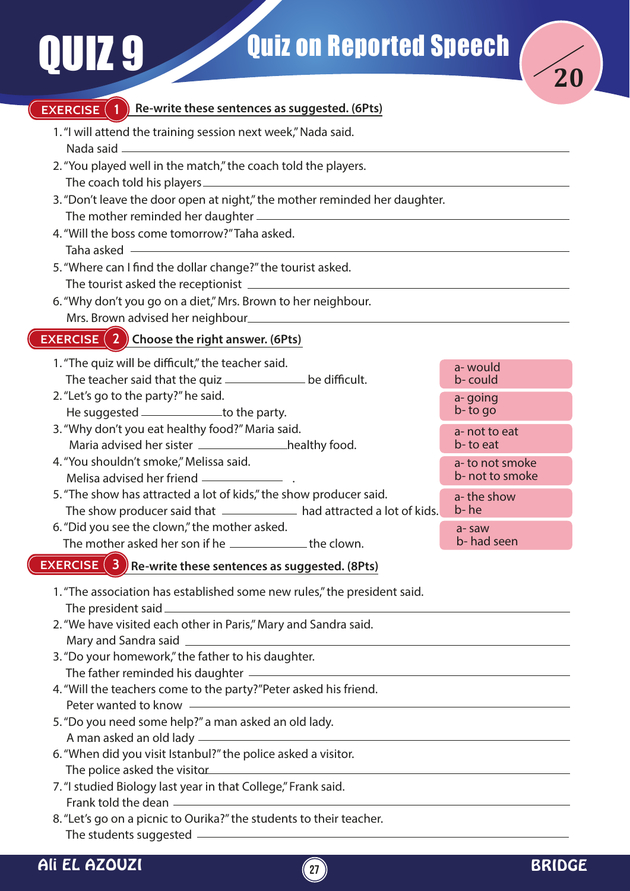# U 7.9



#### **EXERCISE 1 Re-write these sentences as suggested. (6Pts)**

- 1. "I will attend the training session next week," Nada said. Nada said
- 2. "You played well in the match," the coach told the players. The coach told his players
- 3. "Don't leave the door open at night," the mother reminded her daughter. The mother reminded her daughter
- 4. "Will the boss come tomorrow?" Taha asked. Taha asked
- 5. "Where can I find the dollar change?" the tourist asked. The tourist asked the receptionist
- 6. "Why don't you go on a diet," Mrs. Brown to her neighbour. Mrs. Brown advised her neighbour

### **EXERCISE 2 Choose the right answer. (6Pts)**

- 1. "The quiz will be difficult," the teacher said. The teacher said that the quiz **contained an unitary of the difficult.**
- 2. "Let's go to the party?" he said. He suggested \_\_\_\_\_\_\_\_\_\_\_\_\_\_\_to the party.
- 3. "Why don't you eat healthy food?" Maria said. Maria advised her sister \_\_\_\_\_\_\_\_\_\_\_\_\_\_\_healthy food.
- 4. "You shouldn't smoke," Melissa said. Melisa advised her friend .
- 5. "The show has attracted a lot of kids," the show producer said. The show producer said that \_\_\_\_\_\_\_\_\_\_\_\_\_ had attracted a lot of kids.
- 6. "Did you see the clown," the mother asked. The mother asked her son if he the the clown.

### **EXERCISE 3 Re-write these sentences as suggested. (8Pts)**

- 1. "The association has established some new rules," the president said. The president said
- 2. "We have visited each other in Paris," Mary and Sandra said. Mary and Sandra said
- 3. "Do your homework," the father to his daughter. The father reminded his daughter
- 4. "Will the teachers come to the party?"Peter asked his friend. Peter wanted to know
- 5. "Do you need some help?" a man asked an old lady. A man asked an old lady
- 6. "When did you visit Istanbul?" the police asked a visitor. The police asked the visitor
- 7. "I studied Biology last year in that College," Frank said. Frank told the dean
- 8. "Let's go on a picnic to Ourika?" the students to their teacher. The students suggested

| a- would<br>b- could              |  |
|-----------------------------------|--|
| a-going<br>b-to go                |  |
| a- not to eat<br>b- to eat        |  |
| a-to not smoke<br>b- not to smoke |  |
| a- the show<br>b- he              |  |
| a- saw<br>b-had seen              |  |